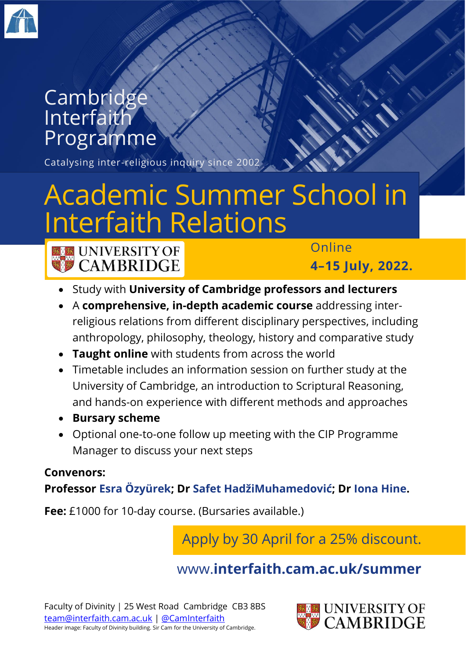

## **Cambridge** Interfaith Programme

Catalysing inter-religious inquiry since 2002

# Academic Summer School in Interfaith Relations



ET UNIVERSITY OF **CAMBRIDGE** 

Online

**4–15 July, 2022.**

- Study with **University of Cambridge professors and lecturers**
- A **comprehensive, in-depth academic course** addressing interreligious relations from different disciplinary perspectives, including anthropology, philosophy, theology, history and comparative study
- **Taught online** with students from across the world
- Timetable includes an information session on further study at the University of Cambridge, an introduction to Scriptural Reasoning, and hands-on experience with different methods and approaches
- **Bursary scheme**
- Optional one-to-one follow up meeting with the CIP Programme Manager to discuss your next steps

#### **Convenors: Professor Esra Özyürek; Dr Safet HadžiMuhamedović; Dr Iona Hine.**

**Fee:** £1000 for 10-day course. (Bursaries available.)

Apply by 30 April for a 25% discount.

## www.**[interfaith.cam.ac.uk/summer](http://www.interfaith.cam.ac.uk/summer)**

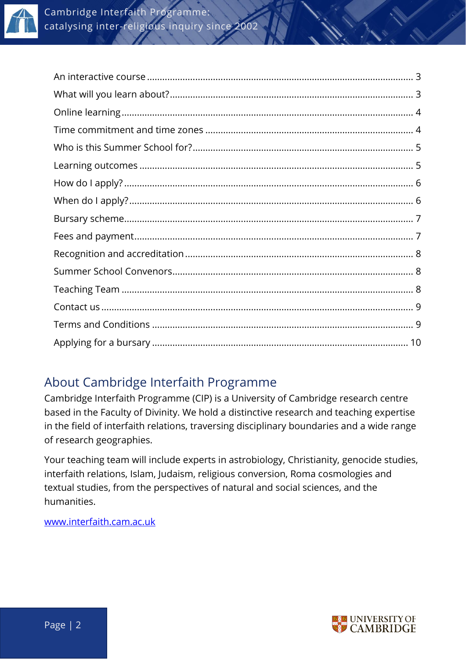

## About Cambridge Interfaith Programme

Cambridge Interfaith Programme (CIP) is a University of Cambridge research centre based in the Faculty of Divinity. We hold a distinctive research and teaching expertise in the field of interfaith relations, traversing disciplinary boundaries and a wide range of research geographies.

Your teaching team will include experts in astrobiology, Christianity, genocide studies, interfaith relations, Islam, Judaism, religious conversion, Roma cosmologies and textual studies, from the perspectives of natural and social sciences, and the humanities.

[www.interfaith.cam.ac.uk](http://www.interfaith.cam.ac.uk/)

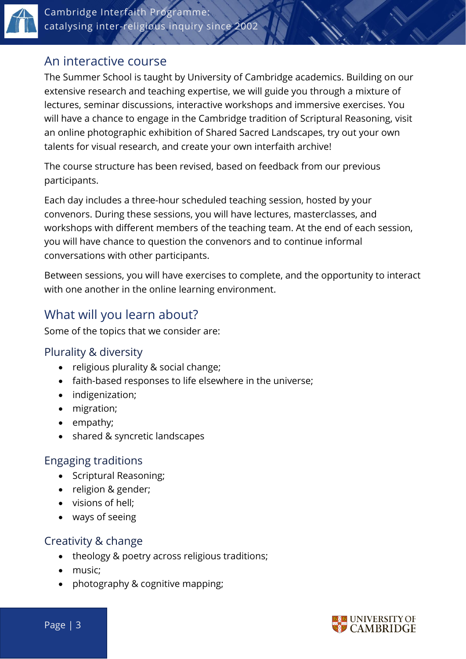

## <span id="page-2-0"></span>An interactive course

The Summer School is taught by University of Cambridge academics. Building on our extensive research and teaching expertise, we will guide you through a mixture of lectures, seminar discussions, interactive workshops and immersive exercises. You will have a chance to engage in the Cambridge tradition of Scriptural Reasoning, visit an online photographic exhibition of Shared Sacred Landscapes, try out your own talents for visual research, and create your own interfaith archive!

The course structure has been revised, based on feedback from our previous participants.

Each day includes a three-hour scheduled teaching session, hosted by your convenors. During these sessions, you will have lectures, masterclasses, and workshops with different members of the teaching team. At the end of each session, you will have chance to question the convenors and to continue informal conversations with other participants.

Between sessions, you will have exercises to complete, and the opportunity to interact with one another in the online learning environment.

## <span id="page-2-1"></span>What will you learn about?

Some of the topics that we consider are:

#### Plurality & diversity

- religious plurality & social change;
- faith-based responses to life elsewhere in the universe;
- indigenization;
- migration;
- empathy;
- shared & syncretic landscapes

#### Engaging traditions

- Scriptural Reasoning;
- religion & gender;
- visions of hell;
- ways of seeing

#### Creativity & change

- theology & poetry across religious traditions;
- music;
- photography & cognitive mapping;



Page | 3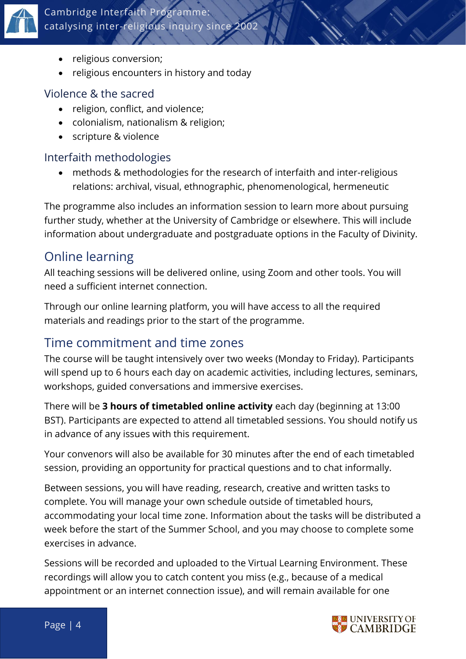

- religious conversion;
- religious encounters in history and today

#### Violence & the sacred

- religion, conflict, and violence:
- colonialism, nationalism & religion;
- scripture & violence

#### Interfaith methodologies

• methods & methodologies for the research of interfaith and inter-religious relations: archival, visual, ethnographic, phenomenological, hermeneutic

The programme also includes an information session to learn more about pursuing further study, whether at the University of Cambridge or elsewhere. This will include information about undergraduate and postgraduate options in the Faculty of Divinity.

## <span id="page-3-0"></span>Online learning

All teaching sessions will be delivered online, using Zoom and other tools. You will need a sufficient internet connection.

Through our online learning platform, you will have access to all the required materials and readings prior to the start of the programme.

## <span id="page-3-1"></span>Time commitment and time zones

The course will be taught intensively over two weeks (Monday to Friday). Participants will spend up to 6 hours each day on academic activities, including lectures, seminars, workshops, guided conversations and immersive exercises.

There will be **3 hours of timetabled online activity** each day (beginning at 13:00 BST). Participants are expected to attend all timetabled sessions. You should notify us in advance of any issues with this requirement.

Your convenors will also be available for 30 minutes after the end of each timetabled session, providing an opportunity for practical questions and to chat informally.

Between sessions, you will have reading, research, creative and written tasks to complete. You will manage your own schedule outside of timetabled hours, accommodating your local time zone. Information about the tasks will be distributed a week before the start of the Summer School, and you may choose to complete some exercises in advance.

Sessions will be recorded and uploaded to the Virtual Learning Environment. These recordings will allow you to catch content you miss (e.g., because of a medical appointment or an internet connection issue), and will remain available for one

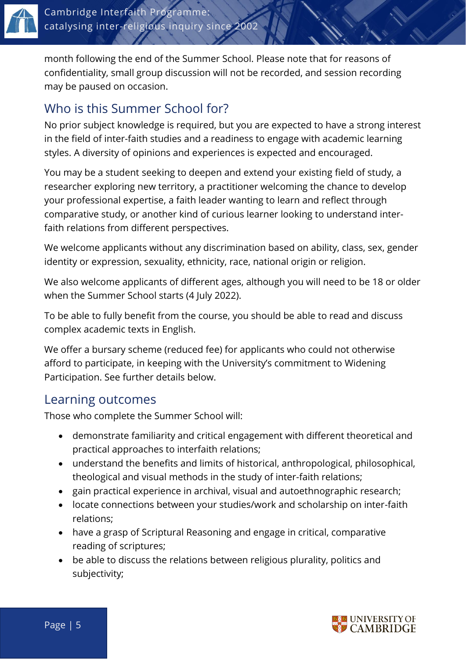

month following the end of the Summer School. Please note that for reasons of confidentiality, small group discussion will not be recorded, and session recording may be paused on occasion.

## <span id="page-4-0"></span>Who is this Summer School for?

No prior subject knowledge is required, but you are expected to have a strong interest in the field of inter-faith studies and a readiness to engage with academic learning styles. A diversity of opinions and experiences is expected and encouraged.

You may be a student seeking to deepen and extend your existing field of study, a researcher exploring new territory, a practitioner welcoming the chance to develop your professional expertise, a faith leader wanting to learn and reflect through comparative study, or another kind of curious learner looking to understand interfaith relations from different perspectives.

We welcome applicants without any discrimination based on ability, class, sex, gender identity or expression, sexuality, ethnicity, race, national origin or religion.

We also welcome applicants of different ages, although you will need to be 18 or older when the Summer School starts (4 July 2022).

To be able to fully benefit from the course, you should be able to read and discuss complex academic texts in English.

We offer a bursary scheme (reduced fee) for applicants who could not otherwise afford to participate, in keeping with the University's commitment to Widening Participation. See further details below.

## <span id="page-4-1"></span>Learning outcomes

Those who complete the Summer School will:

- demonstrate familiarity and critical engagement with different theoretical and practical approaches to interfaith relations;
- understand the benefits and limits of historical, anthropological, philosophical, theological and visual methods in the study of inter-faith relations;
- gain practical experience in archival, visual and autoethnographic research;
- locate connections between your studies/work and scholarship on inter-faith relations;
- have a grasp of Scriptural Reasoning and engage in critical, comparative reading of scriptures;
- be able to discuss the relations between religious plurality, politics and subjectivity;

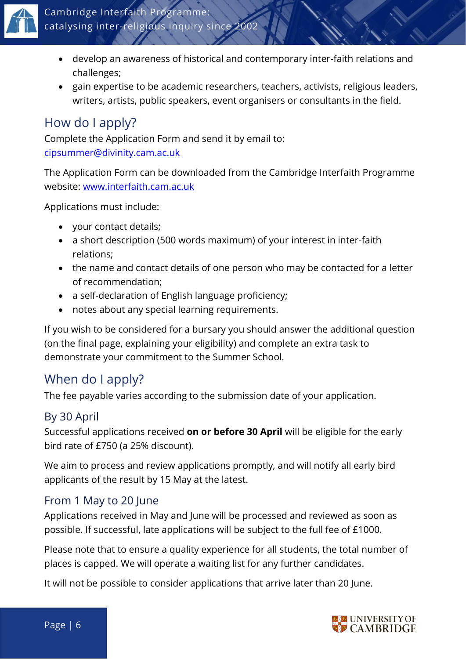

- develop an awareness of historical and contemporary inter-faith relations and challenges;
- gain expertise to be academic researchers, teachers, activists, religious leaders, writers, artists, public speakers, event organisers or consultants in the field.

## <span id="page-5-0"></span>How do I apply?

Complete the Application Form and send it by email to: [cipsummer@divinity.cam.ac.uk](mailto:cipsummer@divinity.cam.ac.uk)

The Application Form can be downloaded from the Cambridge Interfaith Programme website: [www.interfaith.cam.ac.uk](http://www.interfaith.cam.ac.uk/)

Applications must include:

- your contact details;
- a short description (500 words maximum) of your interest in inter-faith relations;
- the name and contact details of one person who may be contacted for a letter of recommendation;
- a self-declaration of English language proficiency;
- notes about any special learning requirements.

If you wish to be considered for a bursary you should answer the additional question (on the final page, explaining your eligibility) and complete an extra task to demonstrate your commitment to the Summer School.

## <span id="page-5-1"></span>When do I apply?

The fee payable varies according to the submission date of your application.

#### By 30 April

Successful applications received **on or before 30 April** will be eligible for the early bird rate of £750 (a 25% discount).

We aim to process and review applications promptly, and will notify all early bird applicants of the result by 15 May at the latest.

#### From 1 May to 20 June

Applications received in May and June will be processed and reviewed as soon as possible. If successful, late applications will be subject to the full fee of £1000.

Please note that to ensure a quality experience for all students, the total number of places is capped. We will operate a waiting list for any further candidates.

It will not be possible to consider applications that arrive later than 20 June.

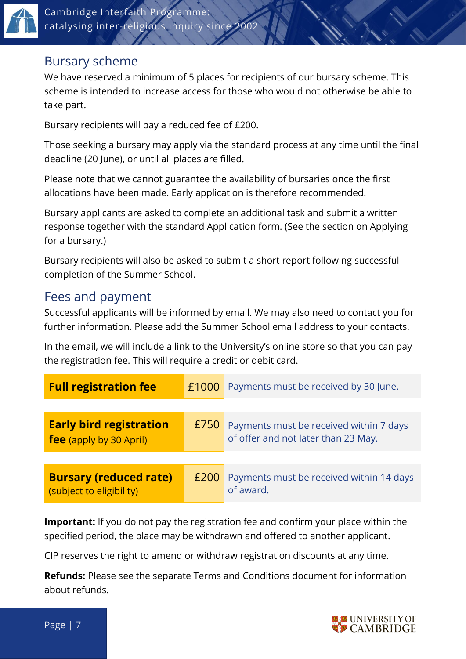

#### <span id="page-6-0"></span>Bursary scheme

We have reserved a minimum of 5 places for recipients of our bursary scheme. This scheme is intended to increase access for those who would not otherwise be able to take part.

Bursary recipients will pay a reduced fee of £200.

Those seeking a bursary may apply via the standard process at any time until the final deadline (20 June), or until all places are filled.

Please note that we cannot guarantee the availability of bursaries once the first allocations have been made. Early application is therefore recommended.

Bursary applicants are asked to complete an additional task and submit a written response together with the standard Application form. (See the section on Applying for a bursary.)

Bursary recipients will also be asked to submit a short report following successful completion of the Summer School.

#### <span id="page-6-1"></span>Fees and payment

Successful applicants will be informed by email. We may also need to contact you for further information. Please add the Summer School email address to your contacts.

In the email, we will include a link to the University's online store so that you can pay the registration fee. This will require a credit or debit card.

| <b>Full registration fee</b>                              | £1000 | Payments must be received by 30 June.                                          |  |
|-----------------------------------------------------------|-------|--------------------------------------------------------------------------------|--|
|                                                           |       |                                                                                |  |
| <b>Early bird registration</b><br>fee (apply by 30 April) | £750  | Payments must be received within 7 days<br>of offer and not later than 23 May. |  |
|                                                           |       |                                                                                |  |
| <b>Bursary (reduced rate)</b><br>(subject to eligibility) | £200  | Payments must be received within 14 days<br>of award.                          |  |

**Important:** If you do not pay the registration fee and confirm your place within the specified period, the place may be withdrawn and offered to another applicant.

CIP reserves the right to amend or withdraw registration discounts at any time.

**Refunds:** Please see the separate Terms and Conditions document for information about refunds.



Page | 7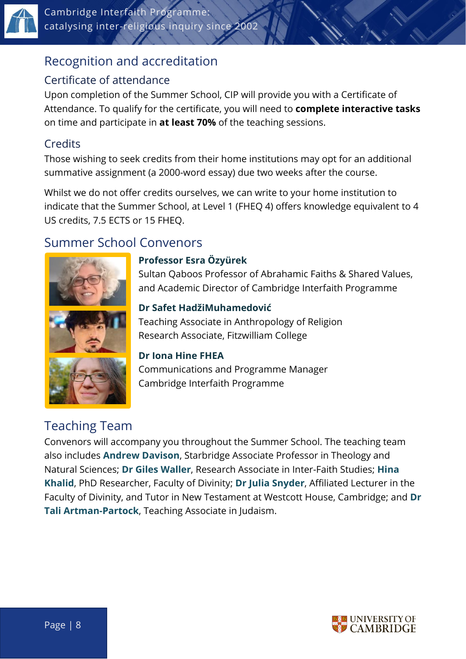

## <span id="page-7-0"></span>Recognition and accreditation

#### Certificate of attendance

Upon completion of the Summer School, CIP will provide you with a Certificate of Attendance. To qualify for the certificate, you will need to **complete interactive tasks** on time and participate in **at least 70%** of the teaching sessions.

#### **Credits**

Those wishing to seek credits from their home institutions may opt for an additional summative assignment (a 2000-word essay) due two weeks after the course.

Whilst we do not offer credits ourselves, we can write to your home institution to indicate that the Summer School, at Level 1 (FHEQ 4) offers knowledge equivalent to 4 US credits, 7.5 ECTS or 15 FHEQ.

## <span id="page-7-1"></span>Summer School Convenors



#### **Professor Esra Özyürek**

Sultan Qaboos Professor of Abrahamic Faiths & Shared Values, and Academic Director of Cambridge Interfaith Programme

**Dr Safet HadžiMuhamedović** Teaching Associate in Anthropology of Religion Research Associate, Fitzwilliam College

#### **Dr Iona Hine FHEA**

Communications and Programme Manager Cambridge Interfaith Programme

## <span id="page-7-2"></span>Teaching Team

Convenors will accompany you throughout the Summer School. The teaching team also includes **Andrew Davison**, Starbridge Associate Professor in Theology and Natural Sciences; **Dr Giles Waller**, Research Associate in Inter-Faith Studies; **Hina Khalid**, PhD Researcher, Faculty of Divinity; **Dr Julia Snyder**, Affiliated Lecturer in the Faculty of Divinity, and Tutor in New Testament at Westcott House, Cambridge; and **Dr Tali Artman-Partock**, Teaching Associate in Judaism.

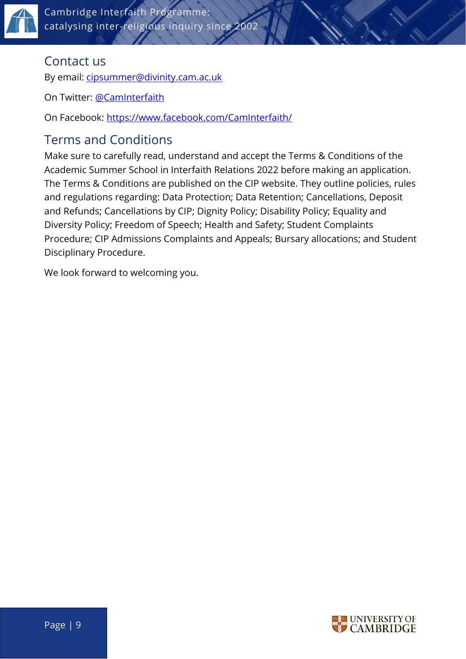

Cambridge Interfaith Programme: catalysing inter-religious inquiry since 2002

#### <span id="page-8-0"></span>Contact us

By email: [cipsummer@divinity.cam.ac.uk](mailto:cipsummer@divinity.cam.ac.uk)

On Twitter: [@CamInterfaith](https://www.twitter.com/CamInterfaith)

On Facebook:<https://www.facebook.com/CamInterfaith/>

## <span id="page-8-1"></span>Terms and Conditions

Make sure to carefully read, understand and accept the Terms & Conditions of the Academic Summer School in Interfaith Relations 2022 before making an application. The Terms & Conditions are published on the CIP website. They outline policies, rules and regulations regarding: Data Protection; Data Retention; Cancellations, Deposit and Refunds; Cancellations by CIP; Dignity Policy; Disability Policy; Equality and Diversity Policy; Freedom of Speech; Health and Safety; Student Complaints Procedure; CIP Admissions Complaints and Appeals; Bursary allocations; and Student Disciplinary Procedure.

We look forward to welcoming you.

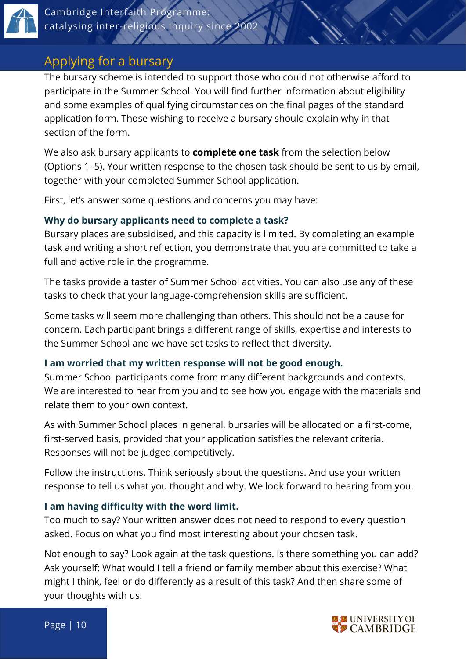

## <span id="page-9-0"></span>Applying for a bursary

The bursary scheme is intended to support those who could not otherwise afford to participate in the Summer School. You will find further information about eligibility and some examples of qualifying circumstances on the final pages of the standard application form. Those wishing to receive a bursary should explain why in that section of the form.

We also ask bursary applicants to **complete one task** from the selection below (Options 1–5). Your written response to the chosen task should be sent to us by email, together with your completed Summer School application.

First, let's answer some questions and concerns you may have:

#### **Why do bursary applicants need to complete a task?**

Bursary places are subsidised, and this capacity is limited. By completing an example task and writing a short reflection, you demonstrate that you are committed to take a full and active role in the programme.

The tasks provide a taster of Summer School activities. You can also use any of these tasks to check that your language-comprehension skills are sufficient.

Some tasks will seem more challenging than others. This should not be a cause for concern. Each participant brings a different range of skills, expertise and interests to the Summer School and we have set tasks to reflect that diversity.

#### **I am worried that my written response will not be good enough.**

Summer School participants come from many different backgrounds and contexts. We are interested to hear from you and to see how you engage with the materials and relate them to your own context.

As with Summer School places in general, bursaries will be allocated on a first-come, first-served basis, provided that your application satisfies the relevant criteria. Responses will not be judged competitively.

Follow the instructions. Think seriously about the questions. And use your written response to tell us what you thought and why. We look forward to hearing from you.

#### **I am having difficulty with the word limit.**

Too much to say? Your written answer does not need to respond to every question asked. Focus on what you find most interesting about your chosen task.

Not enough to say? Look again at the task questions. Is there something you can add? Ask yourself: What would I tell a friend or family member about this exercise? What might I think, feel or do differently as a result of this task? And then share some of your thoughts with us.

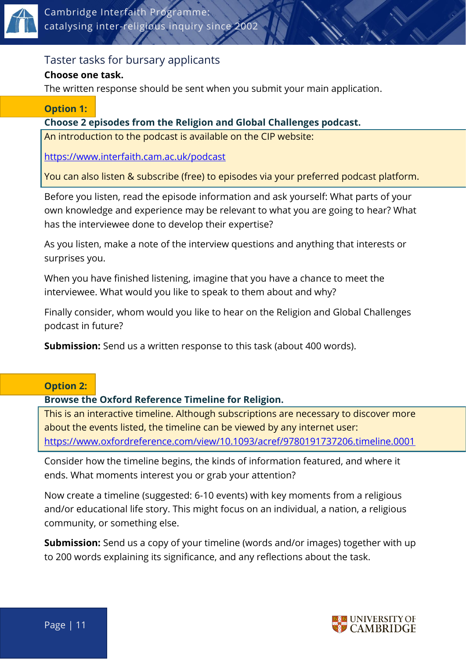

#### Taster tasks for bursary applicants

#### **Choose one task.**

The written response should be sent when you submit your main application.

#### **Option 1:**

#### **Choose 2 episodes from the Religion and Global Challenges podcast.**

An introduction to the podcast is available on the CIP website:

<https://www.interfaith.cam.ac.uk/podcast>

You can also listen & subscribe (free) to episodes via your preferred podcast platform.

Before you listen, read the episode information and ask yourself: What parts of your own knowledge and experience may be relevant to what you are going to hear? What has the interviewee done to develop their expertise?

As you listen, make a note of the interview questions and anything that interests or surprises you.

When you have finished listening, imagine that you have a chance to meet the interviewee. What would you like to speak to them about and why?

Finally consider, whom would you like to hear on the Religion and Global Challenges podcast in future?

**Submission:** Send us a written response to this task (about 400 words).

#### **Option 2:**

#### **Browse the Oxford Reference Timeline for Religion.**

This is an interactive timeline. Although subscriptions are necessary to discover more about the events listed, the timeline can be viewed by any internet user: <https://www.oxfordreference.com/view/10.1093/acref/9780191737206.timeline.0001>

Consider how the timeline begins, the kinds of information featured, and where it ends. What moments interest you or grab your attention?

Now create a timeline (suggested: 6-10 events) with key moments from a religious and/or educational life story. This might focus on an individual, a nation, a religious community, or something else.

**Submission:** Send us a copy of your timeline (words and/or images) together with up to 200 words explaining its significance, and any reflections about the task.

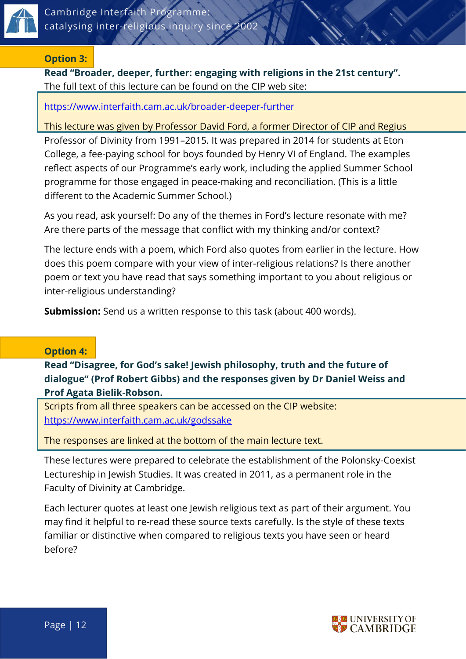

#### **Option 3:**

**Read "Broader, deeper, further: engaging with religions in the 21st century".** The full text of this lecture can be found on the CIP web site:

<https://www.interfaith.cam.ac.uk/broader-deeper-further>

This lecture was given by Professor David Ford, a former Director of CIP and Regius Professor of Divinity from 1991–2015. It was prepared in 2014 for students at Eton College, a fee-paying school for boys founded by Henry VI of England. The examples reflect aspects of our Programme's early work, including the applied Summer School programme for those engaged in peace-making and reconciliation. (This is a little different to the Academic Summer School.)

As you read, ask yourself: Do any of the themes in Ford's lecture resonate with me? Are there parts of the message that conflict with my thinking and/or context?

The lecture ends with a poem, which Ford also quotes from earlier in the lecture. How does this poem compare with your view of inter-religious relations? Is there another poem or text you have read that says something important to you about religious or inter-religious understanding?

**Submission:** Send us a written response to this task (about 400 words).

#### **Option 4:**

**Read "Disagree, for God's sake! Jewish philosophy, truth and the future of dialogue" (Prof Robert Gibbs) and the responses given by Dr Daniel Weiss and Prof Agata Bielik-Robson.**

Scripts from all three speakers can be accessed on the CIP website: <https://www.interfaith.cam.ac.uk/godssake>

The responses are linked at the bottom of the main lecture text.

These lectures were prepared to celebrate the establishment of the Polonsky-Coexist Lectureship in Jewish Studies. It was created in 2011, as a permanent role in the Faculty of Divinity at Cambridge.

Each lecturer quotes at least one Jewish religious text as part of their argument. You may find it helpful to re-read these source texts carefully. Is the style of these texts familiar or distinctive when compared to religious texts you have seen or heard before?